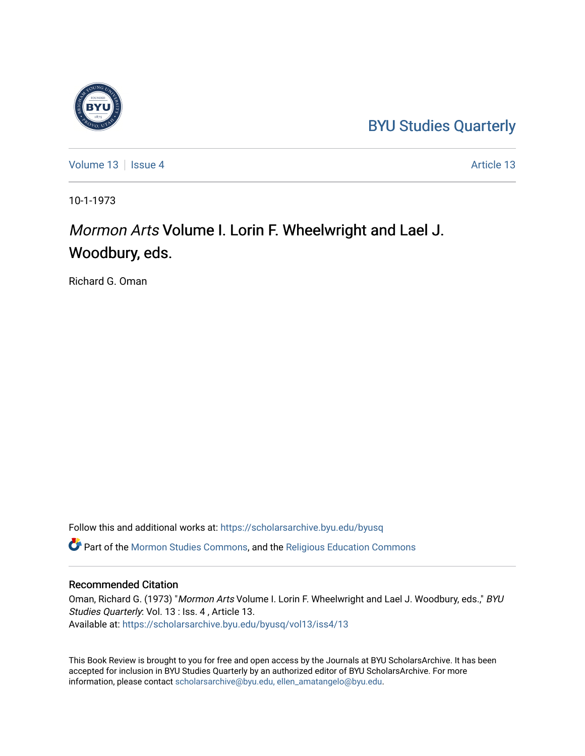### [BYU Studies Quarterly](https://scholarsarchive.byu.edu/byusq)

[Volume 13](https://scholarsarchive.byu.edu/byusq/vol13) September 13 [Issue 4](https://scholarsarchive.byu.edu/byusq/vol13/iss4) [Article 13](https://scholarsarchive.byu.edu/byusq/vol13/iss4/13) Article 13

10-1-1973

## Mormon Arts Volume I. Lorin F. Wheelwright and Lael J. Woodbury, eds.

Richard G. Oman

Follow this and additional works at: [https://scholarsarchive.byu.edu/byusq](https://scholarsarchive.byu.edu/byusq?utm_source=scholarsarchive.byu.edu%2Fbyusq%2Fvol13%2Fiss4%2F13&utm_medium=PDF&utm_campaign=PDFCoverPages) 

Part of the [Mormon Studies Commons](http://network.bepress.com/hgg/discipline/1360?utm_source=scholarsarchive.byu.edu%2Fbyusq%2Fvol13%2Fiss4%2F13&utm_medium=PDF&utm_campaign=PDFCoverPages), and the [Religious Education Commons](http://network.bepress.com/hgg/discipline/1414?utm_source=scholarsarchive.byu.edu%2Fbyusq%2Fvol13%2Fiss4%2F13&utm_medium=PDF&utm_campaign=PDFCoverPages) 

#### Recommended Citation

Oman, Richard G. (1973) "Mormon Arts Volume I. Lorin F. Wheelwright and Lael J. Woodbury, eds.," BYU Studies Quarterly: Vol. 13 : Iss. 4 , Article 13. Available at: [https://scholarsarchive.byu.edu/byusq/vol13/iss4/13](https://scholarsarchive.byu.edu/byusq/vol13/iss4/13?utm_source=scholarsarchive.byu.edu%2Fbyusq%2Fvol13%2Fiss4%2F13&utm_medium=PDF&utm_campaign=PDFCoverPages) 

This Book Review is brought to you for free and open access by the Journals at BYU ScholarsArchive. It has been accepted for inclusion in BYU Studies Quarterly by an authorized editor of BYU ScholarsArchive. For more information, please contact [scholarsarchive@byu.edu, ellen\\_amatangelo@byu.edu.](mailto:scholarsarchive@byu.edu,%20ellen_amatangelo@byu.edu)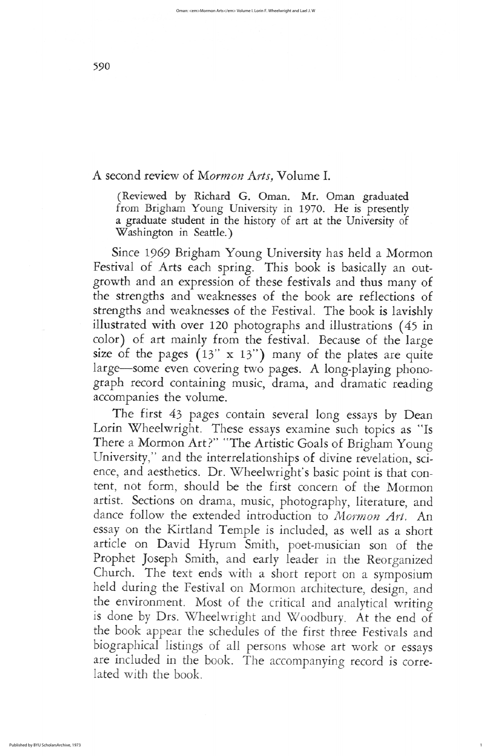# A second review of Mormon Arts, Volume I.

(Reviewed by Richard G. Oman. Mr. Oman graduated from Brigham Young University in 1970. He is presently a graduate student in the history of art at the University of Washington in Seattle.)

Since 1969 Brigham Young University has held a Mormon Festival of Arts each spring. This book is basically an outgrowth and an expression of these festivals and thus many of the strengths and weaknesses of the book are reflections of strengths and weaknesses of the Festival. The book is lavishly illustrated with over 120 photographs and illustrations (45 in color) of art mainly from the festival. Because of the large size of the pages  $(13" \times 13")$  many of the plates are quite large-some even covering two pages. A long-playing phonograph record containing music, drama, and dramatic reading accompanies the volume The first 43 pages contain several long essays by Dean Lorin Wheelwright. These essays examine such topics as "Is There a Mormon Art?" "The Artistic Goals of Brigham Young University," and the interrelationships of divine revelation, science, and aesthetics. Dr. Wheelwright's basic point is that content, not form, should be the first concern of the Mormon artist. Sections on drama, music, photography, literature, and dance follow the extended introduction to Mormon Art. An essay on the Kirtland Temple is included, as well as a short article on David Hyrum Smith, poet-musician son of the Prophet Joseph Smith, and early leader in the Reorganized Church. The text ends with a short report on a symposium held during the Festival on Mormon architecture, design, and the environment. Most of the critical and analytical writing is done by Drs. Wheelwright and Woodbury. At the end of the book appear the schedules of the first three festivals and biographical listings of all persons whose art work or essays are included in the book. The accompanying record is correlated with the book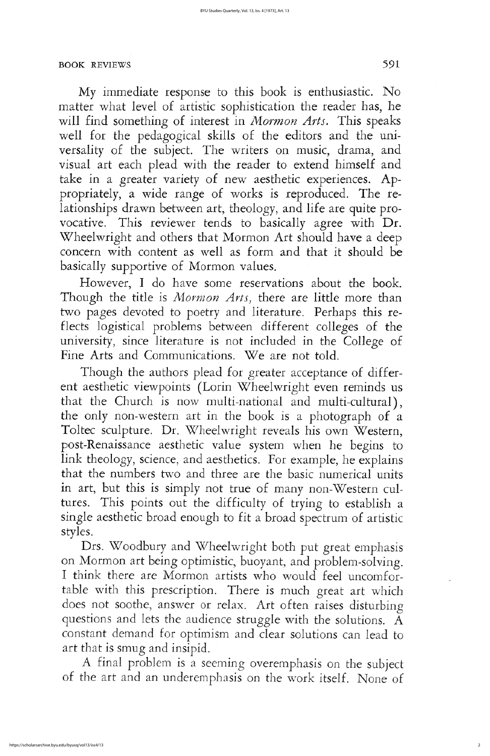Though the authors plead for greater acceptance of different aesthetic viewpoints (Lorin Wheelwright even reminds us that the Church is now multi-national and multi-cultural), the only non-western art in the book is a photograph of a Toltec sculpture. Dr. Wheelwright reveals his own Western, post-Renaissance aesthetic value system when he begins to link theology, science, and aesthetics. For example, he explains that the numbers two and three are the basic numerical units in art, but this is simply not true of many non-Western cultures. This points out the difficulty of trying to establish a single aesthetic broad enough to fit a broad spectrum of artistic styles Drs. Woodbury and Wheelwright both put great emphasis on Mormon art being optimistic, buoyant, and problem-solving. I think there are Mormon artists who would feel uncomfortable with this prescription. There is much great art which does not soothe, answer or relax. Art often raises disturbing questions and lets the audience struggle with the solutions. A constant demand for optimism and clear solutions can lead to art that is smug and insipid

A final problem is a seeming overemphasis on the subject of the art and an underemphasis on the work itself. None of

## BOOK REVIEWS 591

My immediate response to this book is enthusiastic. No matter what level of artistic sophistication the reader has, he will find something of interest in *Mormon Arts*. This speaks well for the pedagogical skills of the editors and the universality of the subject. The writers on music, drama, and visual art each plead with the reader to extend himself and take in a greater variety of new aesthetic experiences. Appropriately, a wide range of works is reproduced. The relationships drawn between art, theology, and life are quite provocative. This reviewer tends to basically agree with Dr. Wheelwright and others that Mormon Art should have a deep concern with content as well as form and that it should be basically supportive of Mormon values.

However, I do have some reservations about the book. Though the title is *Mormon Arts*, there are little more than two pages devoted to poetry and literature. Perhaps this reflects logistical problems between different colleges of the university, since literature is not included in the College of Fine Arts and Communications. We are not told.